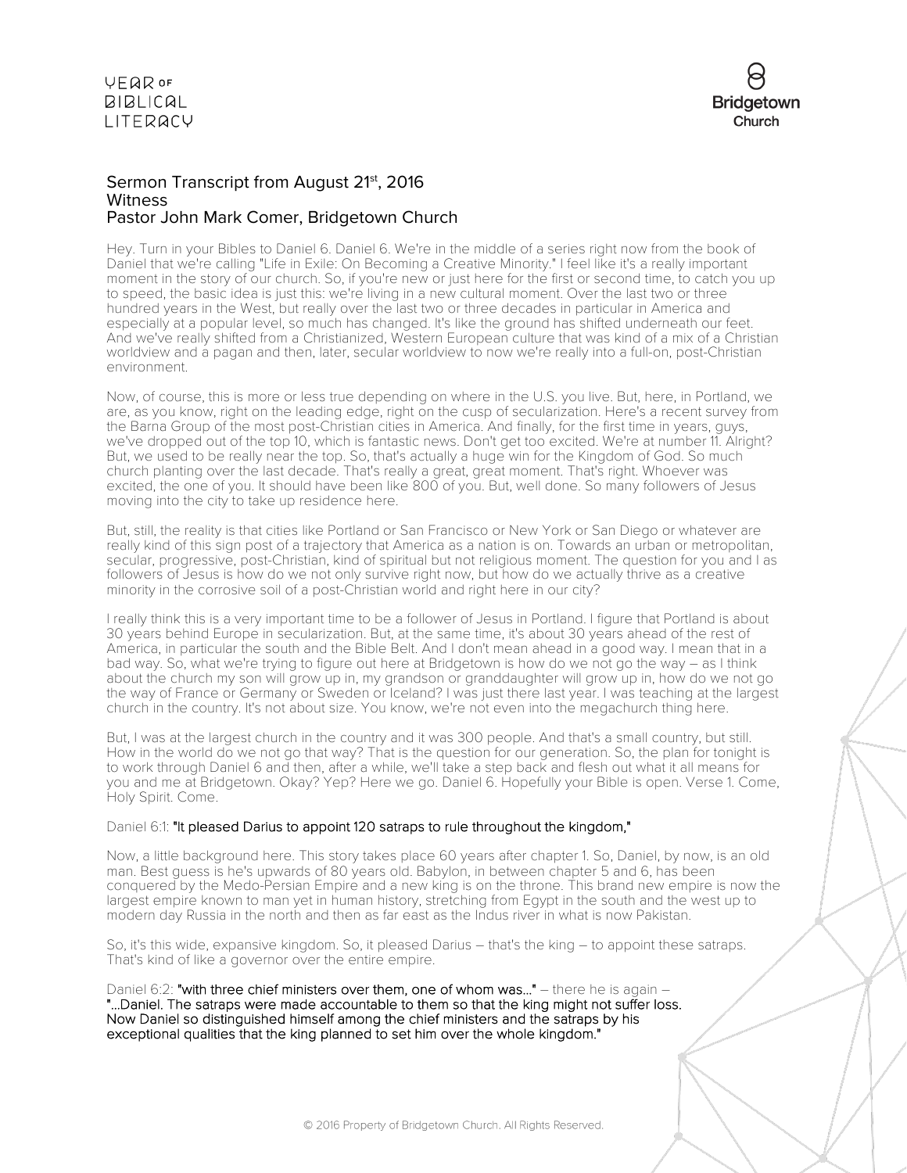

## Sermon Transcript from August 21<sup>st</sup>, 2016 **Witness** Pastor John Mark Comer, Bridgetown Church

Hey. Turn in your Bibles to Daniel 6. Daniel 6. We're in the middle of a series right now from the book of Daniel that we're calling "Life in Exile: On Becoming a Creative Minority." I feel like it's a really important moment in the story of our church. So, if you're new or just here for the first or second time, to catch you up to speed, the basic idea is just this: we're living in a new cultural moment. Over the last two or three hundred years in the West, but really over the last two or three decades in particular in America and especially at a popular level, so much has changed. It's like the ground has shifted underneath our feet. And we've really shifted from a Christianized, Western European culture that was kind of a mix of a Christian worldview and a pagan and then, later, secular worldview to now we're really into a full-on, post-Christian environment.

Now, of course, this is more or less true depending on where in the U.S. you live. But, here, in Portland, we are, as you know, right on the leading edge, right on the cusp of secularization. Here's a recent survey from the Barna Group of the most post-Christian cities in America. And finally, for the first time in years, guys, we've dropped out of the top 10, which is fantastic news. Don't get too excited. We're at number 11. Alright? But, we used to be really near the top. So, that's actually a huge win for the Kingdom of God. So much church planting over the last decade. That's really a great, great moment. That's right. Whoever was excited, the one of you. It should have been like 800 of you. But, well done. So many followers of Jesus moving into the city to take up residence here.

But, still, the reality is that cities like Portland or San Francisco or New York or San Diego or whatever are really kind of this sign post of a trajectory that America as a nation is on. Towards an urban or metropolitan, secular, progressive, post-Christian, kind of spiritual but not religious moment. The question for you and I as followers of Jesus is how do we not only survive right now, but how do we actually thrive as a creative minority in the corrosive soil of a post-Christian world and right here in our city?

I really think this is a very important time to be a follower of Jesus in Portland. I figure that Portland is about 30 years behind Europe in secularization. But, at the same time, it's about 30 years ahead of the rest of America, in particular the south and the Bible Belt. And I don't mean ahead in a good way. I mean that in a bad way. So, what we're trying to figure out here at Bridgetown is how do we not go the way – as I think about the church my son will grow up in, my grandson or granddaughter will grow up in, how do we not go the way of France or Germany or Sweden or Iceland? I was just there last year. I was teaching at the largest church in the country. It's not about size. You know, we're not even into the megachurch thing here.

But, I was at the largest church in the country and it was 300 people. And that's a small country, but still. How in the world do we not go that way? That is the question for our generation. So, the plan for tonight is to work through Daniel 6 and then, after a while, we'll take a step back and flesh out what it all means for you and me at Bridgetown. Okay? Yep? Here we go. Daniel 6. Hopefully your Bible is open. Verse 1. Come, Holy Spirit. Come.

### Daniel 6:1: "It pleased Darius to appoint 120 satraps to rule throughout the kingdom,"

Now, a little background here. This story takes place 60 years after chapter 1. So, Daniel, by now, is an old man. Best guess is he's upwards of 80 years old. Babylon, in between chapter 5 and 6, has been conquered by the Medo-Persian Empire and a new king is on the throne. This brand new empire is now the largest empire known to man yet in human history, stretching from Egypt in the south and the west up to modern day Russia in the north and then as far east as the Indus river in what is now Pakistan.

So, it's this wide, expansive kingdom. So, it pleased Darius – that's the king – to appoint these satraps. That's kind of like a governor over the entire empire.

Daniel 6:2: "with three chief ministers over them, one of whom was..." – there he is again – "...Daniel. The satraps were made accountable to them so that the king might not suffer loss. Now Daniel so distinguished himself among the chief ministers and the satraps by his exceptional qualities that the king planned to set him over the whole kingdom."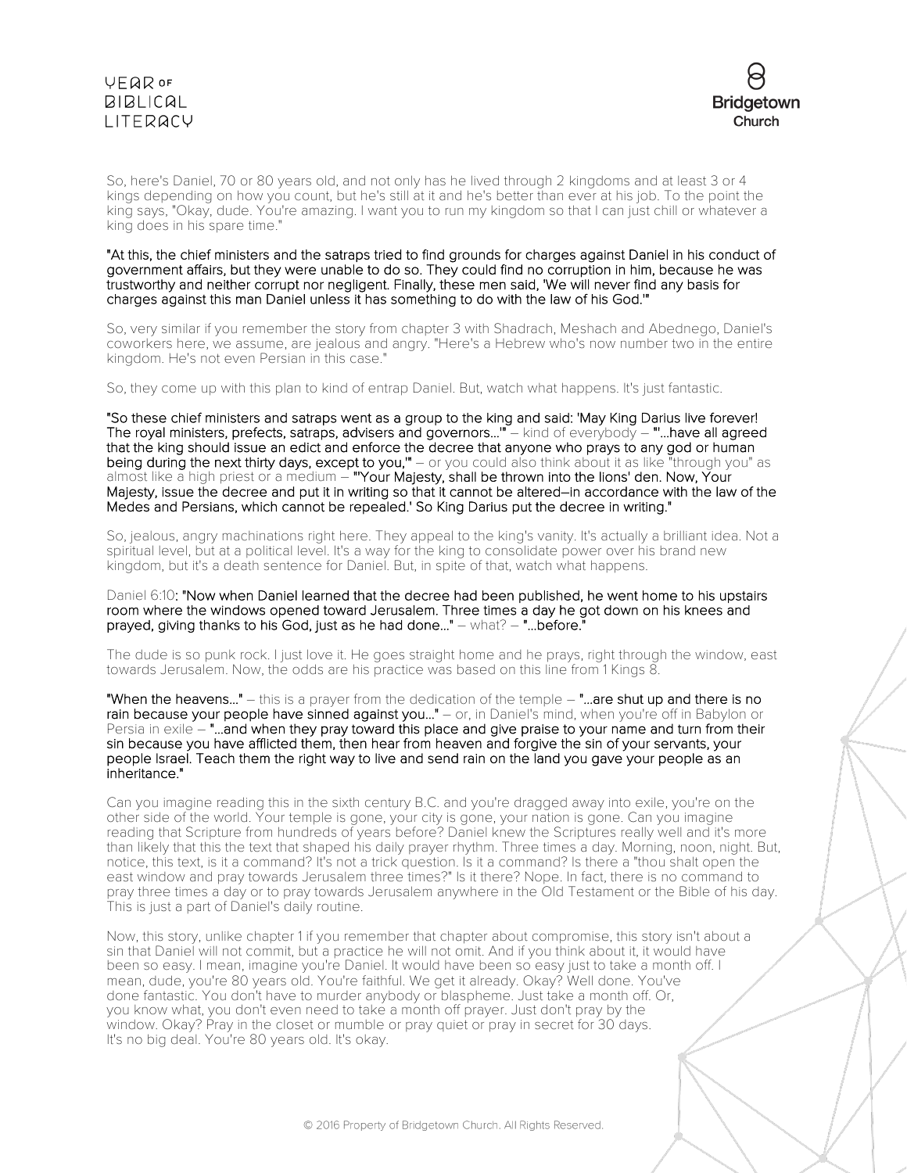

So, here's Daniel, 70 or 80 years old, and not only has he lived through 2 kingdoms and at least 3 or 4 kings depending on how you count, but he's still at it and he's better than ever at his job. To the point the king says, "Okay, dude. You're amazing. I want you to run my kingdom so that I can just chill or whatever a king does in his spare time."

#### "At this, the chief ministers and the satraps tried to find grounds for charges against Daniel in his conduct of government affairs, but they were unable to do so. They could find no corruption in him, because he was trustworthy and neither corrupt nor negligent. Finally, these men said, 'We will never find any basis for charges against this man Daniel unless it has something to do with the law of his God.'"

So, very similar if you remember the story from chapter 3 with Shadrach, Meshach and Abednego, Daniel's coworkers here, we assume, are jealous and angry. "Here's a Hebrew who's now number two in the entire kingdom. He's not even Persian in this case."

So, they come up with this plan to kind of entrap Daniel. But, watch what happens. It's just fantastic.

"So these chief ministers and satraps went as a group to the king and said: 'May King Darius live forever! The royal ministers, prefects, satraps, advisers and governors...'" – kind of everybody – "'...have all agreed that the king should issue an edict and enforce the decree that anyone who prays to any god or human being during the next thirty days, except to you,'" – or you could also think about it as like "through you" as almost like a high priest or a medium – "Your Majesty, shall be thrown into the lions' den. Now, Your Majesty, issue the decree and put it in writing so that it cannot be altered–in accordance with the law of the Medes and Persians, which cannot be repealed.' So King Darius put the decree in writing."

So, jealous, angry machinations right here. They appeal to the king's vanity. It's actually a brilliant idea. Not a spiritual level, but at a political level. It's a way for the king to consolidate power over his brand new kingdom, but it's a death sentence for Daniel. But, in spite of that, watch what happens.

Daniel 6:10: "Now when Daniel learned that the decree had been published, he went home to his upstairs room where the windows opened toward Jerusalem. Three times a day he got down on his knees and prayed, giving thanks to his God, just as he had done..." – what? – "...before."

The dude is so punk rock. I just love it. He goes straight home and he prays, right through the window, east towards Jerusalem. Now, the odds are his practice was based on this line from 1 Kings 8.

"When the heavens..." – this is a prayer from the dedication of the temple – "...are shut up and there is no rain because your people have sinned against you..." - or, in Daniel's mind, when you're off in Babylon or Persia in exile – "...and when they pray toward this place and give praise to your name and turn from their sin because you have afflicted them, then hear from heaven and forgive the sin of your servants, your people Israel. Teach them the right way to live and send rain on the land you gave your people as an inheritance."

Can you imagine reading this in the sixth century B.C. and you're dragged away into exile, you're on the other side of the world. Your temple is gone, your city is gone, your nation is gone. Can you imagine reading that Scripture from hundreds of years before? Daniel knew the Scriptures really well and it's more than likely that this the text that shaped his daily prayer rhythm. Three times a day. Morning, noon, night. But, notice, this text, is it a command? It's not a trick question. Is it a command? Is there a "thou shalt open the east window and pray towards Jerusalem three times?" Is it there? Nope. In fact, there is no command to pray three times a day or to pray towards Jerusalem anywhere in the Old Testament or the Bible of his day. This is just a part of Daniel's daily routine.

Now, this story, unlike chapter 1 if you remember that chapter about compromise, this story isn't about a sin that Daniel will not commit, but a practice he will not omit. And if you think about it, it would have been so easy. I mean, imagine you're Daniel. It would have been so easy just to take a month off. I mean, dude, you're 80 years old. You're faithful. We get it already. Okay? Well done. You've done fantastic. You don't have to murder anybody or blaspheme. Just take a month off. Or, you know what, you don't even need to take a month off prayer. Just don't pray by the window. Okay? Pray in the closet or mumble or pray quiet or pray in secret for 30 days. It's no big deal. You're 80 years old. It's okay.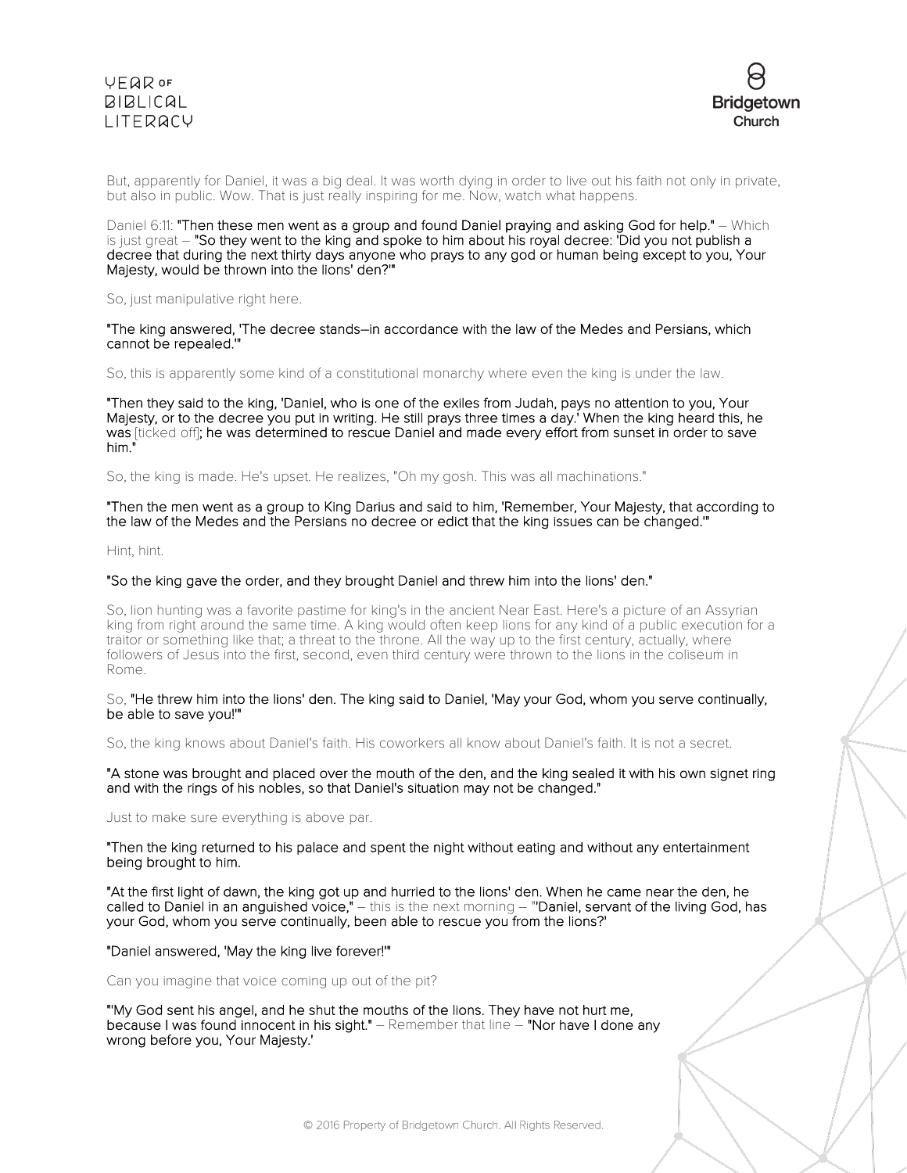



But, apparently for Daniel, it was a big deal. It was worth dying in order to live out his faith not only in private, but also in public. Wow. That is just really inspiring for me. Now, watch what happens.

Daniel 6:11: "Then these men went as a group and found Daniel praying and asking God for help." – Which is just great – "So they went to the king and spoke to him about his royal decree: 'Did you not publish a decree that during the next thirty days anyone who prays to any god or human being except to you, Your Majesty, would be thrown into the lions' den?'"

So, just manipulative right here.

"The king answered, 'The decree stands–in accordance with the law of the Medes and Persians, which cannot be repealed.'"

So, this is apparently some kind of a constitutional monarchy where even the king is under the law.

"Then they said to the king, 'Daniel, who is one of the exiles from Judah, pays no attention to you, Your Majesty, or to the decree you put in writing. He still prays three times a day.' When the king heard this, he was [ticked off]; he was determined to rescue Daniel and made every effort from sunset in order to save him."

So, the king is made. He's upset. He realizes, "Oh my gosh. This was all machinations."

"Then the men went as a group to King Darius and said to him, 'Remember, Your Majesty, that according to the law of the Medes and the Persians no decree or edict that the king issues can be changed.'"

Hint, hint.

#### "So the king gave the order, and they brought Daniel and threw him into the lions' den."

So, lion hunting was a favorite pastime for king's in the ancient Near East. Here's a picture of an Assyrian king from right around the same time. A king would often keep lions for any kind of a public execution for a traitor or something like that; a threat to the throne. All the way up to the first century, actually, where followers of Jesus into the first, second, even third century were thrown to the lions in the coliseum in Rome.

So, "He threw him into the lions' den. The king said to Daniel, 'May your God, whom you serve continually, be able to save you!'"

So, the king knows about Daniel's faith. His coworkers all know about Daniel's faith. It is not a secret.

"A stone was brought and placed over the mouth of the den, and the king sealed it with his own signet ring and with the rings of his nobles, so that Daniel's situation may not be changed."

Just to make sure everything is above par.

"Then the king returned to his palace and spent the night without eating and without any entertainment being brought to him.

"At the first light of dawn, the king got up and hurried to the lions' den. When he came near the den, he called to Daniel in an anguished voice," – this is the next morning – "'Daniel, servant of the living God, has your God, whom you serve continually, been able to rescue you from the lions?'

"Daniel answered, 'May the king live forever!'"

Can you imagine that voice coming up out of the pit?

"'My God sent his angel, and he shut the mouths of the lions. They have not hurt me, because I was found innocent in his sight." – Remember that line – "Nor have I done any wrong before you, Your Majesty.'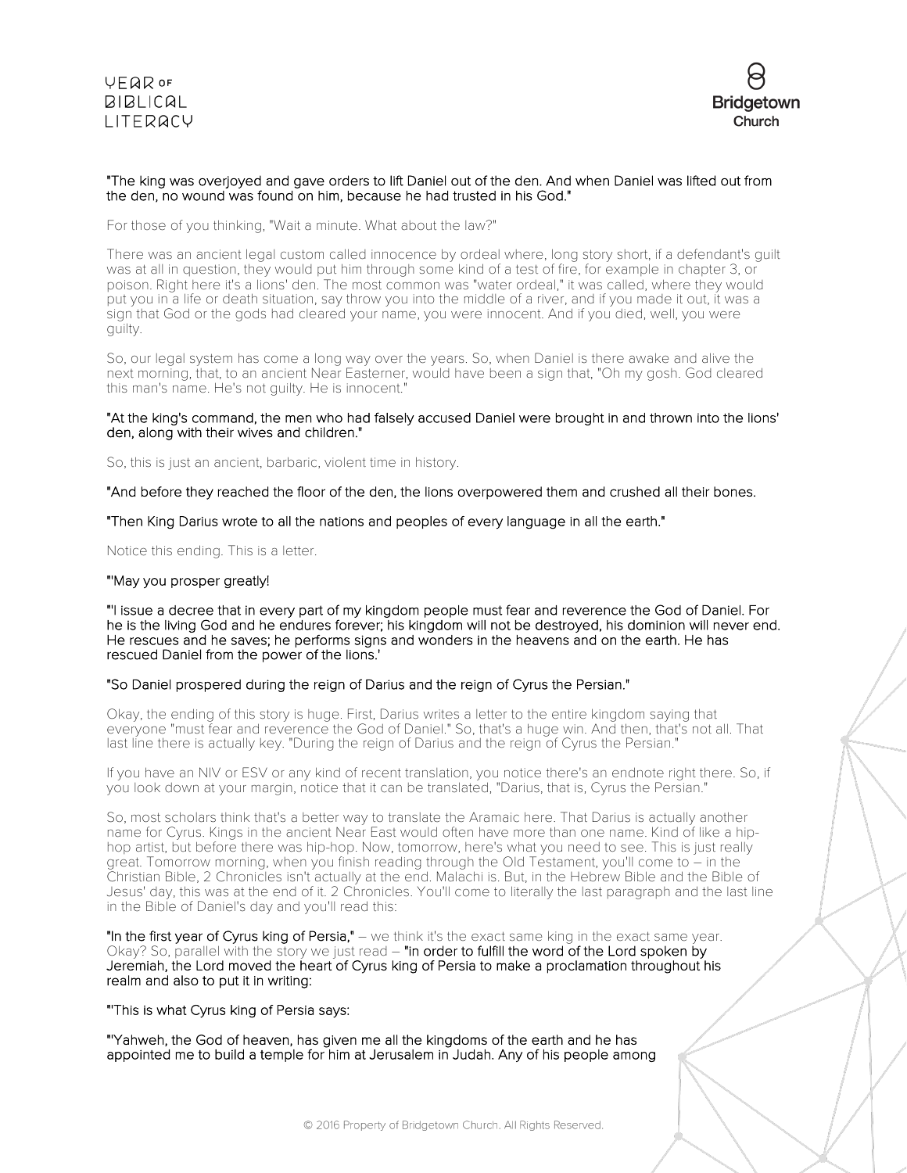

### "The king was overjoyed and gave orders to lift Daniel out of the den. And when Daniel was lifted out from the den, no wound was found on him, because he had trusted in his God."

For those of you thinking, "Wait a minute. What about the law?"

There was an ancient legal custom called innocence by ordeal where, long story short, if a defendant's guilt was at all in question, they would put him through some kind of a test of fire, for example in chapter 3, or poison. Right here it's a lions' den. The most common was "water ordeal," it was called, where they would put you in a life or death situation, say throw you into the middle of a river, and if you made it out, it was a sign that God or the gods had cleared your name, you were innocent. And if you died, well, you were guilty.

So, our legal system has come a long way over the years. So, when Daniel is there awake and alive the next morning, that, to an ancient Near Easterner, would have been a sign that, "Oh my gosh. God cleared this man's name. He's not guilty. He is innocent."

#### "At the king's command, the men who had falsely accused Daniel were brought in and thrown into the lions' den, along with their wives and children."

So, this is just an ancient, barbaric, violent time in history.

"And before they reached the floor of the den, the lions overpowered them and crushed all their bones.

"Then King Darius wrote to all the nations and peoples of every language in all the earth."

Notice this ending. This is a letter.

### "'May you prosper greatly!

"'I issue a decree that in every part of my kingdom people must fear and reverence the God of Daniel. For he is the living God and he endures forever; his kingdom will not be destroyed, his dominion will never end. He rescues and he saves; he performs signs and wonders in the heavens and on the earth. He has rescued Daniel from the power of the lions.'

### "So Daniel prospered during the reign of Darius and the reign of Cyrus the Persian."

Okay, the ending of this story is huge. First, Darius writes a letter to the entire kingdom saying that everyone "must fear and reverence the God of Daniel." So, that's a huge win. And then, that's not all. That last line there is actually key. "During the reign of Darius and the reign of Cyrus the Persian."

If you have an NIV or ESV or any kind of recent translation, you notice there's an endnote right there. So, if you look down at your margin, notice that it can be translated, "Darius, that is, Cyrus the Persian."

So, most scholars think that's a better way to translate the Aramaic here. That Darius is actually another name for Cyrus. Kings in the ancient Near East would often have more than one name. Kind of like a hiphop artist, but before there was hip-hop. Now, tomorrow, here's what you need to see. This is just really great. Tomorrow morning, when you finish reading through the Old Testament, you'll come to - in the Christian Bible, 2 Chronicles isn't actually at the end. Malachi is. But, in the Hebrew Bible and the Bible of Jesus' day, this was at the end of it. 2 Chronicles. You'll come to literally the last paragraph and the last line in the Bible of Daniel's day and you'll read this:

"In the first year of Cyrus king of Persia," - we think it's the exact same king in the exact same year. Okay? So, parallel with the story we just read – "in order to fulfill the word of the Lord spoken by Jeremiah, the Lord moved the heart of Cyrus king of Persia to make a proclamation throughout his realm and also to put it in writing:

"'This is what Cyrus king of Persia says:

"'Yahweh, the God of heaven, has given me all the kingdoms of the earth and he has appointed me to build a temple for him at Jerusalem in Judah. Any of his people among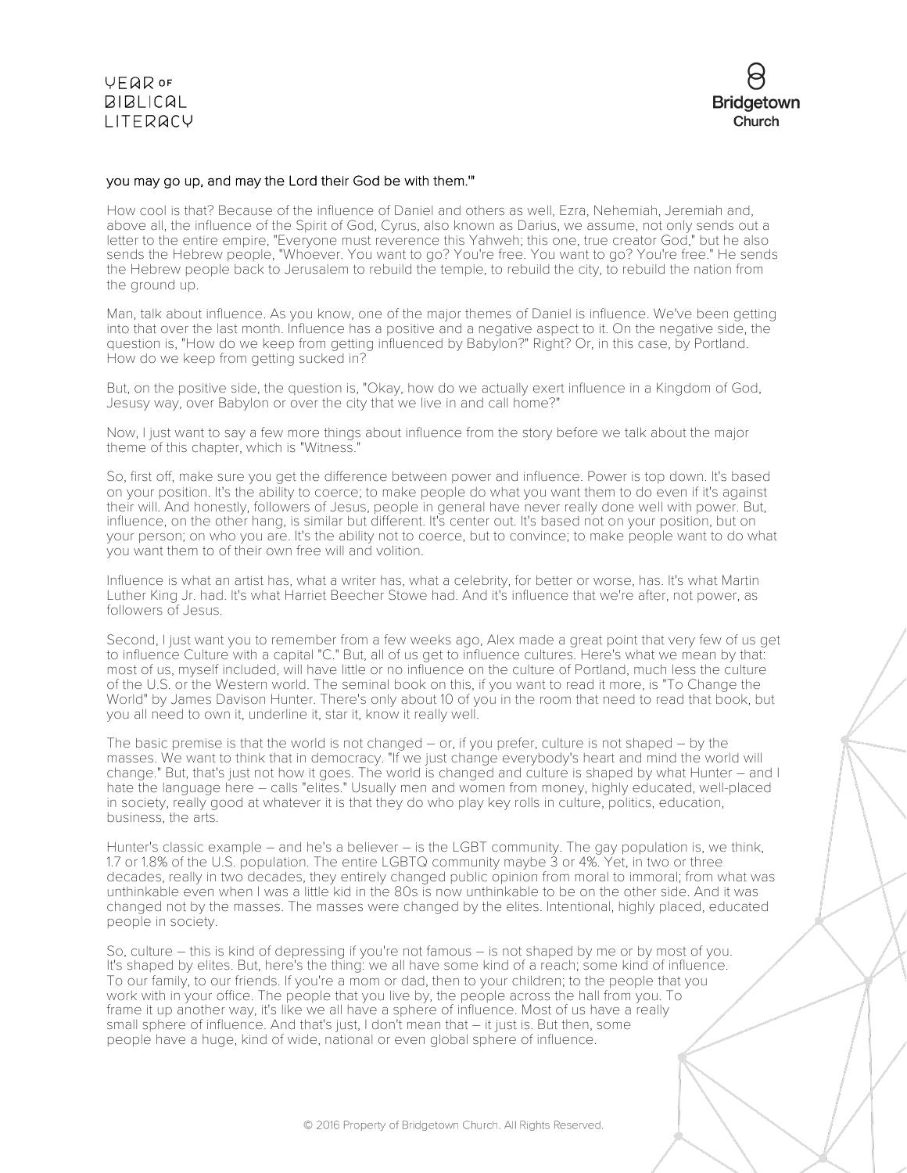



#### you may go up, and may the Lord their God be with them.'"

How cool is that? Because of the influence of Daniel and others as well, Ezra, Nehemiah, Jeremiah and, above all, the influence of the Spirit of God, Cyrus, also known as Darius, we assume, not only sends out a letter to the entire empire, "Everyone must reverence this Yahweh; this one, true creator God," but he also sends the Hebrew people, "Whoever. You want to go? You're free. You want to go? You're free." He sends the Hebrew people back to Jerusalem to rebuild the temple, to rebuild the city, to rebuild the nation from the ground up.

Man, talk about influence. As you know, one of the major themes of Daniel is influence. We've been getting into that over the last month. Influence has a positive and a negative aspect to it. On the negative side, the question is, "How do we keep from getting influenced by Babylon?" Right? Or, in this case, by Portland. How do we keep from getting sucked in?

But, on the positive side, the question is, "Okay, how do we actually exert influence in a Kingdom of God, Jesusy way, over Babylon or over the city that we live in and call home?"

Now, I just want to say a few more things about influence from the story before we talk about the major theme of this chapter, which is "Witness."

So, first off, make sure you get the difference between power and influence. Power is top down. It's based on your position. It's the ability to coerce; to make people do what you want them to do even if it's against their will. And honestly, followers of Jesus, people in general have never really done well with power. But, influence, on the other hang, is similar but different. It's center out. It's based not on your position, but on your person; on who you are. It's the ability not to coerce, but to convince; to make people want to do what you want them to of their own free will and volition.

Influence is what an artist has, what a writer has, what a celebrity, for better or worse, has. It's what Martin Luther King Jr. had. It's what Harriet Beecher Stowe had. And it's influence that we're after, not power, as followers of Jesus.

Second, I just want you to remember from a few weeks ago, Alex made a great point that very few of us get to influence Culture with a capital "C." But, all of us get to influence cultures. Here's what we mean by that: most of us, myself included, will have little or no influence on the culture of Portland, much less the culture of the U.S. or the Western world. The seminal book on this, if you want to read it more, is "To Change the World" by James Davison Hunter. There's only about 10 of you in the room that need to read that book, but you all need to own it, underline it, star it, know it really well.

The basic premise is that the world is not changed – or, if you prefer, culture is not shaped – by the masses. We want to think that in democracy. "If we just change everybody's heart and mind the world will change." But, that's just not how it goes. The world is changed and culture is shaped by what Hunter – and I hate the language here – calls "elites." Usually men and women from money, highly educated, well-placed in society, really good at whatever it is that they do who play key rolls in culture, politics, education, business, the arts.

Hunter's classic example – and he's a believer – is the LGBT community. The gay population is, we think, 1.7 or 1.8% of the U.S. population. The entire LGBTQ community maybe 3 or 4%. Yet, in two or three decades, really in two decades, they entirely changed public opinion from moral to immoral; from what was unthinkable even when I was a little kid in the 80s is now unthinkable to be on the other side. And it was changed not by the masses. The masses were changed by the elites. Intentional, highly placed, educated people in society.

So, culture – this is kind of depressing if you're not famous – is not shaped by me or by most of you. It's shaped by elites. But, here's the thing: we all have some kind of a reach; some kind of influence. To our family, to our friends. If you're a mom or dad, then to your children; to the people that you work with in your office. The people that you live by, the people across the hall from you. To frame it up another way, it's like we all have a sphere of influence. Most of us have a really small sphere of influence. And that's just, I don't mean that – it just is. But then, some people have a huge, kind of wide, national or even global sphere of influence.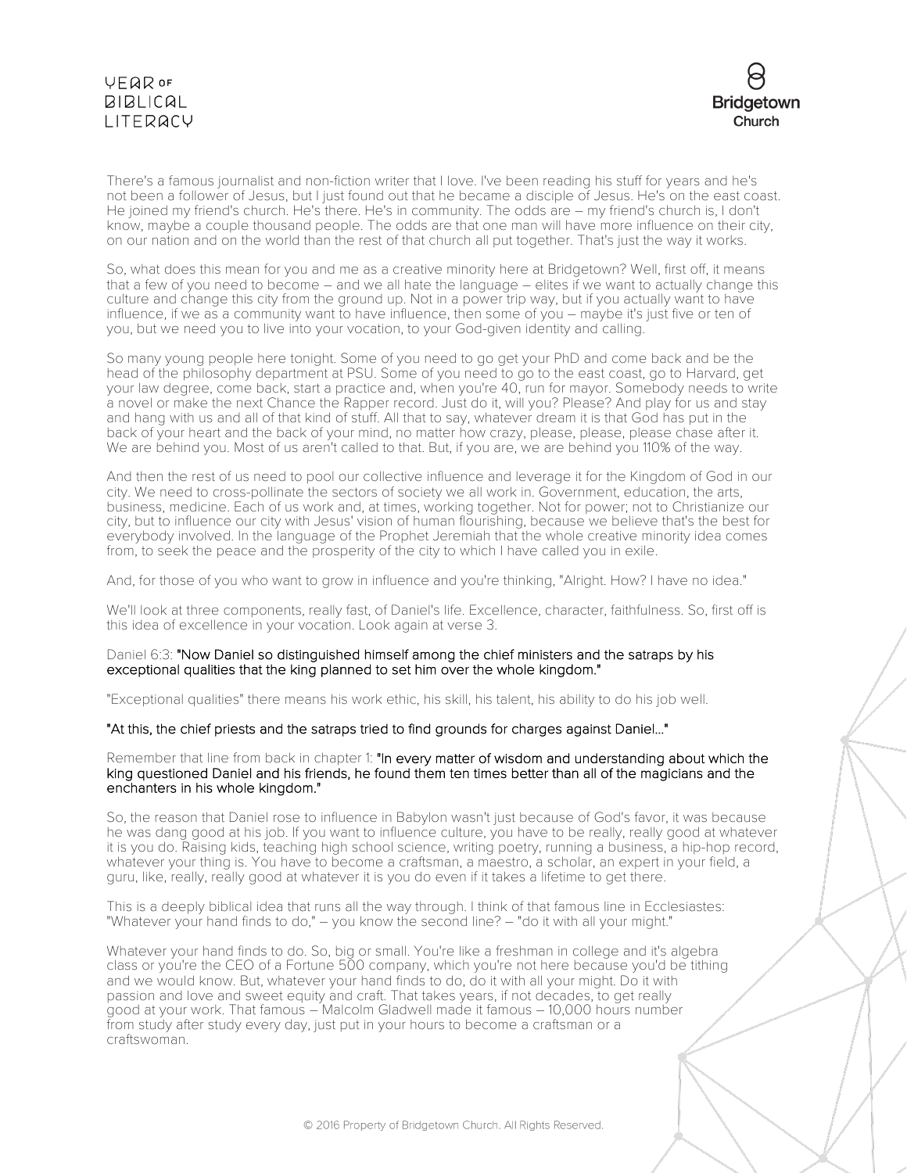

There's a famous journalist and non-fiction writer that I love. I've been reading his stuff for years and he's not been a follower of Jesus, but I just found out that he became a disciple of Jesus. He's on the east coast. He joined my friend's church. He's there. He's in community. The odds are – my friend's church is, I don't know, maybe a couple thousand people. The odds are that one man will have more influence on their city, on our nation and on the world than the rest of that church all put together. That's just the way it works.

So, what does this mean for you and me as a creative minority here at Bridgetown? Well, first off, it means that a few of you need to become – and we all hate the language – elites if we want to actually change this culture and change this city from the ground up. Not in a power trip way, but if you actually want to have influence, if we as a community want to have influence, then some of you – maybe it's just five or ten of you, but we need you to live into your vocation, to your God-given identity and calling.

So many young people here tonight. Some of you need to go get your PhD and come back and be the head of the philosophy department at PSU. Some of you need to go to the east coast, go to Harvard, get your law degree, come back, start a practice and, when you're 40, run for mayor. Somebody needs to write a novel or make the next Chance the Rapper record. Just do it, will you? Please? And play for us and stay and hang with us and all of that kind of stuff. All that to say, whatever dream it is that God has put in the back of your heart and the back of your mind, no matter how crazy, please, please, please chase after it. We are behind you. Most of us aren't called to that. But, if you are, we are behind you 110% of the way.

And then the rest of us need to pool our collective influence and leverage it for the Kingdom of God in our city. We need to cross-pollinate the sectors of society we all work in. Government, education, the arts, business, medicine. Each of us work and, at times, working together. Not for power; not to Christianize our city, but to influence our city with Jesus' vision of human flourishing, because we believe that's the best for everybody involved. In the language of the Prophet Jeremiah that the whole creative minority idea comes from, to seek the peace and the prosperity of the city to which I have called you in exile.

And, for those of you who want to grow in influence and you're thinking, "Alright. How? I have no idea."

We'll look at three components, really fast, of Daniel's life. Excellence, character, faithfulness. So, first off is this idea of excellence in your vocation. Look again at verse 3.

### Daniel 6:3: "Now Daniel so distinguished himself among the chief ministers and the satraps by his exceptional qualities that the king planned to set him over the whole kingdom."

"Exceptional qualities" there means his work ethic, his skill, his talent, his ability to do his job well.

### "At this, the chief priests and the satraps tried to find grounds for charges against Daniel..."

#### Remember that line from back in chapter 1: "In every matter of wisdom and understanding about which the king questioned Daniel and his friends, he found them ten times better than all of the magicians and the enchanters in his whole kingdom."

So, the reason that Daniel rose to influence in Babylon wasn't just because of God's favor, it was because he was dang good at his job. If you want to influence culture, you have to be really, really good at whatever it is you do. Raising kids, teaching high school science, writing poetry, running a business, a hip-hop record, whatever your thing is. You have to become a craftsman, a maestro, a scholar, an expert in your field, a guru, like, really, really good at whatever it is you do even if it takes a lifetime to get there.

This is a deeply biblical idea that runs all the way through. I think of that famous line in Ecclesiastes: "Whatever your hand finds to do," – you know the second line? – "do it with all your might."

Whatever your hand finds to do. So, big or small. You're like a freshman in college and it's algebra class or you're the CEO of a Fortune 500 company, which you're not here because you'd be tithing and we would know. But, whatever your hand finds to do, do it with all your might. Do it with passion and love and sweet equity and craft. That takes years, if not decades, to get really good at your work. That famous – Malcolm Gladwell made it famous – 10,000 hours number from study after study every day, just put in your hours to become a craftsman or a craftswoman.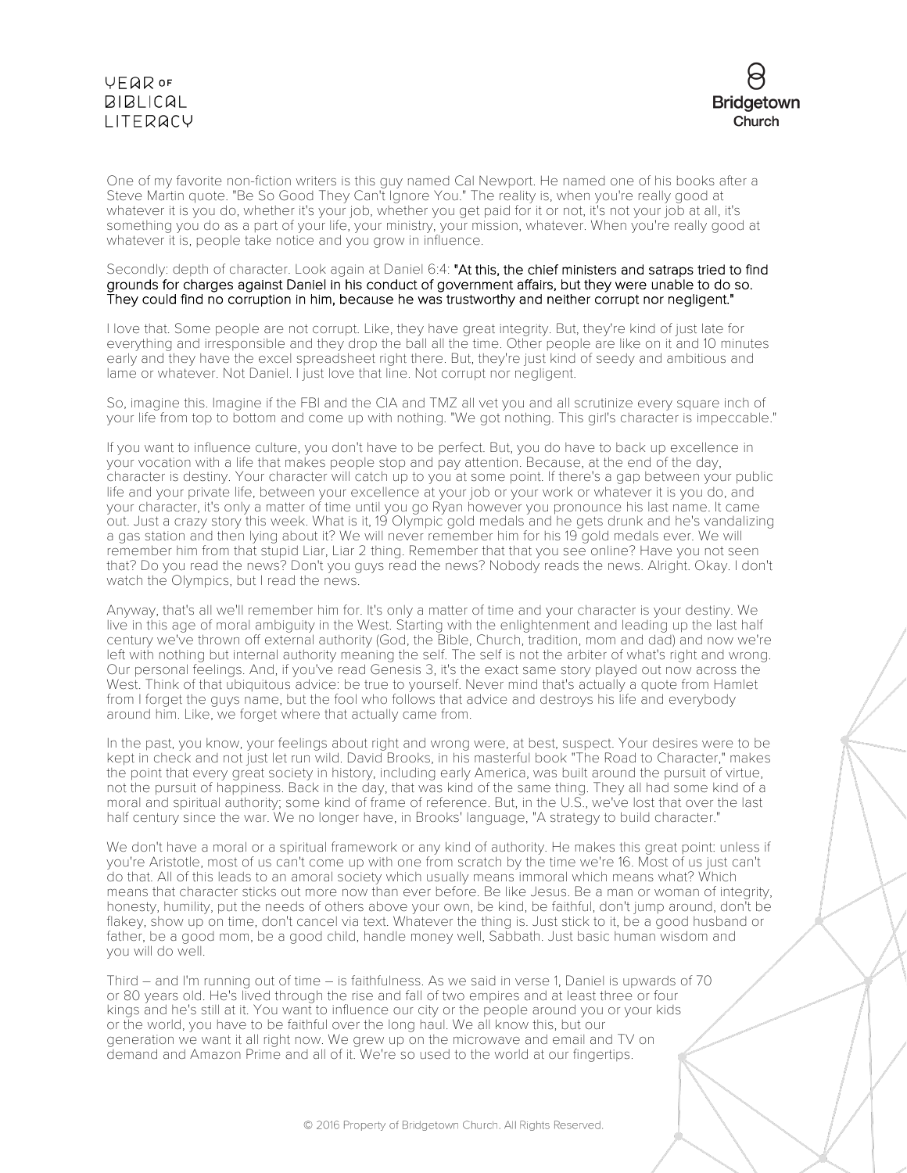

One of my favorite non-fiction writers is this guy named Cal Newport. He named one of his books after a Steve Martin quote. "Be So Good They Can't Ignore You." The reality is, when you're really good at whatever it is you do, whether it's your job, whether you get paid for it or not, it's not your job at all, it's something you do as a part of your life, your ministry, your mission, whatever. When you're really good at whatever it is, people take notice and you grow in influence.

#### Secondly: depth of character. Look again at Daniel 6:4: "At this, the chief ministers and satraps tried to find grounds for charges against Daniel in his conduct of government affairs, but they were unable to do so. They could find no corruption in him, because he was trustworthy and neither corrupt nor negligent."

I love that. Some people are not corrupt. Like, they have great integrity. But, they're kind of just late for everything and irresponsible and they drop the ball all the time. Other people are like on it and 10 minutes early and they have the excel spreadsheet right there. But, they're just kind of seedy and ambitious and lame or whatever. Not Daniel. I just love that line. Not corrupt nor negligent.

So, imagine this. Imagine if the FBI and the CIA and TMZ all vet you and all scrutinize every square inch of your life from top to bottom and come up with nothing. "We got nothing. This girl's character is impeccable."

If you want to influence culture, you don't have to be perfect. But, you do have to back up excellence in your vocation with a life that makes people stop and pay attention. Because, at the end of the day, character is destiny. Your character will catch up to you at some point. If there's a gap between your public life and your private life, between your excellence at your job or your work or whatever it is you do, and your character, it's only a matter of time until you go Ryan however you pronounce his last name. It came out. Just a crazy story this week. What is it, 19 Olympic gold medals and he gets drunk and he's vandalizing a gas station and then lying about it? We will never remember him for his 19 gold medals ever. We will remember him from that stupid Liar, Liar 2 thing. Remember that that you see online? Have you not seen that? Do you read the news? Don't you guys read the news? Nobody reads the news. Alright. Okay. I don't watch the Olympics, but I read the news.

Anyway, that's all we'll remember him for. It's only a matter of time and your character is your destiny. We live in this age of moral ambiguity in the West. Starting with the enlightenment and leading up the last half century we've thrown off external authority (God, the Bible, Church, tradition, mom and dad) and now we're left with nothing but internal authority meaning the self. The self is not the arbiter of what's right and wrong. Our personal feelings. And, if you've read Genesis 3, it's the exact same story played out now across the West. Think of that ubiquitous advice: be true to yourself. Never mind that's actually a quote from Hamlet from I forget the guys name, but the fool who follows that advice and destroys his life and everybody around him. Like, we forget where that actually came from.

In the past, you know, your feelings about right and wrong were, at best, suspect. Your desires were to be kept in check and not just let run wild. David Brooks, in his masterful book "The Road to Character," makes the point that every great society in history, including early America, was built around the pursuit of virtue, not the pursuit of happiness. Back in the day, that was kind of the same thing. They all had some kind of a moral and spiritual authority; some kind of frame of reference. But, in the U.S., we've lost that over the last half century since the war. We no longer have, in Brooks' language, "A strategy to build character."

We don't have a moral or a spiritual framework or any kind of authority. He makes this great point: unless if you're Aristotle, most of us can't come up with one from scratch by the time we're 16. Most of us just can't do that. All of this leads to an amoral society which usually means immoral which means what? Which means that character sticks out more now than ever before. Be like Jesus. Be a man or woman of integrity, honesty, humility, put the needs of others above your own, be kind, be faithful, don't jump around, don't be flakey, show up on time, don't cancel via text. Whatever the thing is. Just stick to it, be a good husband or father, be a good mom, be a good child, handle money well, Sabbath. Just basic human wisdom and you will do well.

Third – and I'm running out of time – is faithfulness. As we said in verse 1, Daniel is upwards of 70 or 80 years old. He's lived through the rise and fall of two empires and at least three or four kings and he's still at it. You want to influence our city or the people around you or your kids or the world, you have to be faithful over the long haul. We all know this, but our generation we want it all right now. We grew up on the microwave and email and TV on demand and Amazon Prime and all of it. We're so used to the world at our fingertips.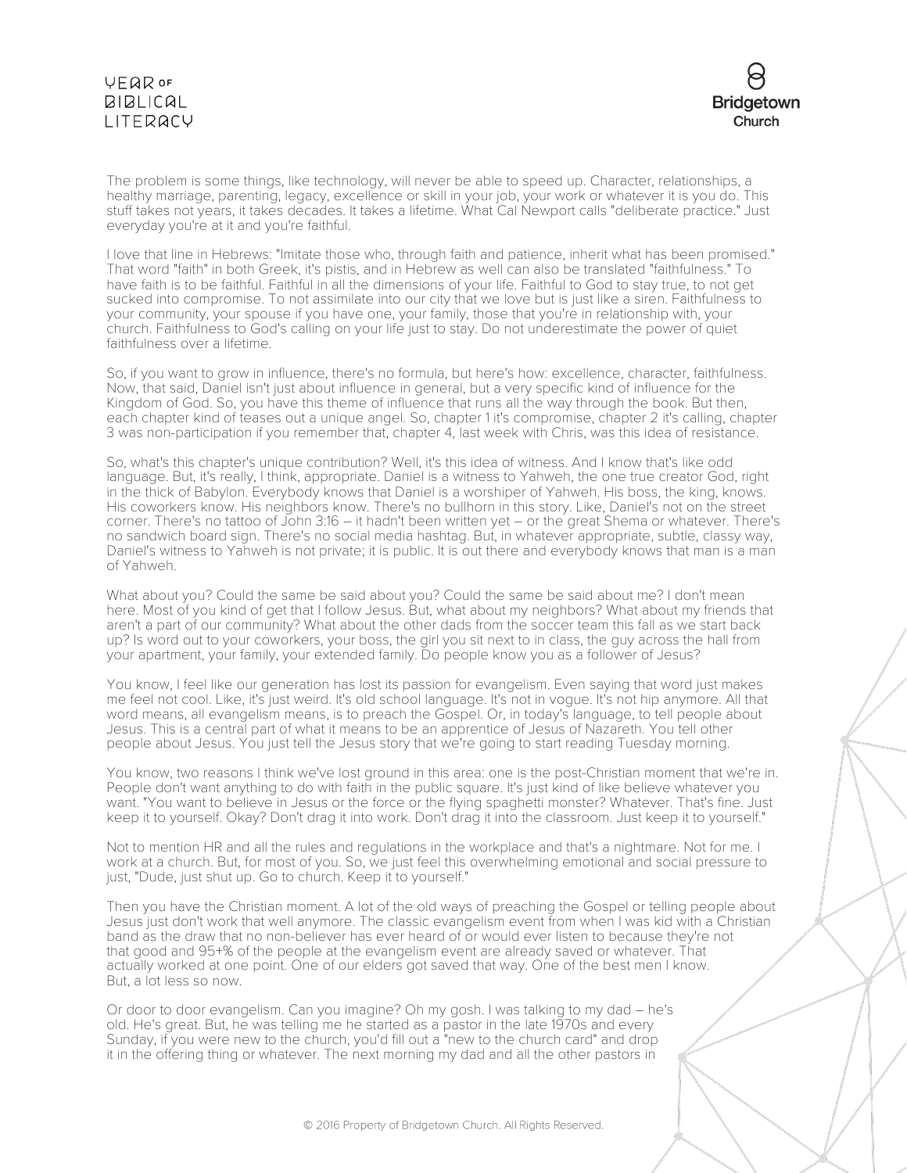

The problem is some things, like technology, will never be able to speed up. Character, relationships, a healthy marriage, parenting, legacy, excellence or skill in your job, your work or whatever it is you do. This stuff takes not years, it takes decades. It takes a lifetime. What Cal Newport calls "deliberate practice." Just everyday you're at it and you're faithful.

I love that line in Hebrews: "Imitate those who, through faith and patience, inherit what has been promised." That word "faith" in both Greek, it's pistis, and in Hebrew as well can also be translated "faithfulness." To have faith is to be faithful. Faithful in all the dimensions of your life. Faithful to God to stay true, to not get sucked into compromise. To not assimilate into our city that we love but is just like a siren. Faithfulness to your community, your spouse if you have one, your family, those that you're in relationship with, your church. Faithfulness to God's calling on your life just to stay. Do not underestimate the power of quiet faithfulness over a lifetime.

So, if you want to grow in influence, there's no formula, but here's how: excellence, character, faithfulness. Now, that said, Daniel isn't just about influence in general, but a very specific kind of influence for the Kingdom of God. So, you have this theme of influence that runs all the way through the book. But then, each chapter kind of teases out a unique angel. So, chapter 1 it's compromise, chapter 2 it's calling, chapter 3 was non-participation if you remember that, chapter 4, last week with Chris, was this idea of resistance.

So, what's this chapter's unique contribution? Well, it's this idea of witness. And I know that's like odd language. But, it's really, I think, appropriate. Daniel is a witness to Yahweh, the one true creator God, right in the thick of Babylon. Everybody knows that Daniel is a worshiper of Yahweh. His boss, the king, knows. His coworkers know. His neighbors know. There's no bullhorn in this story. Like, Daniel's not on the street corner. There's no tattoo of John 3:16 – it hadn't been written yet – or the great Shema or whatever. There's no sandwich board sign. There's no social media hashtag. But, in whatever appropriate, subtle, classy way, Daniel's witness to Yahweh is not private; it is public. It is out there and everybody knows that man is a man of Yahweh.

What about you? Could the same be said about you? Could the same be said about me? I don't mean here. Most of you kind of get that I follow Jesus. But, what about my neighbors? What about my friends that aren't a part of our community? What about the other dads from the soccer team this fall as we start back up? Is word out to your coworkers, your boss, the girl you sit next to in class, the guy across the hall from your apartment, your family, your extended family. Do people know you as a follower of Jesus?

You know, I feel like our generation has lost its passion for evangelism. Even saying that word just makes me feel not cool. Like, it's just weird. It's old school language. It's not in vogue. It's not hip anymore. All that word means, all evangelism means, is to preach the Gospel. Or, in today's language, to tell people about Jesus. This is a central part of what it means to be an apprentice of Jesus of Nazareth. You tell other people about Jesus. You just tell the Jesus story that we're going to start reading Tuesday morning.

You know, two reasons I think we've lost ground in this area: one is the post-Christian moment that we're in. People don't want anything to do with faith in the public square. It's just kind of like believe whatever you want. "You want to believe in Jesus or the force or the flying spaghetti monster? Whatever. That's fine. Just keep it to yourself. Okay? Don't drag it into work. Don't drag it into the classroom. Just keep it to yourself."

Not to mention HR and all the rules and regulations in the workplace and that's a nightmare. Not for me. I work at a church. But, for most of you. So, we just feel this overwhelming emotional and social pressure to just, "Dude, just shut up. Go to church. Keep it to yourself."

Then you have the Christian moment. A lot of the old ways of preaching the Gospel or telling people about Jesus just don't work that well anymore. The classic evangelism event from when I was kid with a Christian band as the draw that no non-believer has ever heard of or would ever listen to because they're not that good and 95+% of the people at the evangelism event are already saved or whatever. That actually worked at one point. One of our elders got saved that way. One of the best men I know. But, a lot less so now.

Or door to door evangelism. Can you imagine? Oh my gosh. I was talking to my dad – he's old. He's great. But, he was telling me he started as a pastor in the late 1970s and every Sunday, if you were new to the church, you'd fill out a "new to the church card" and drop it in the offering thing or whatever. The next morning my dad and all the other pastors in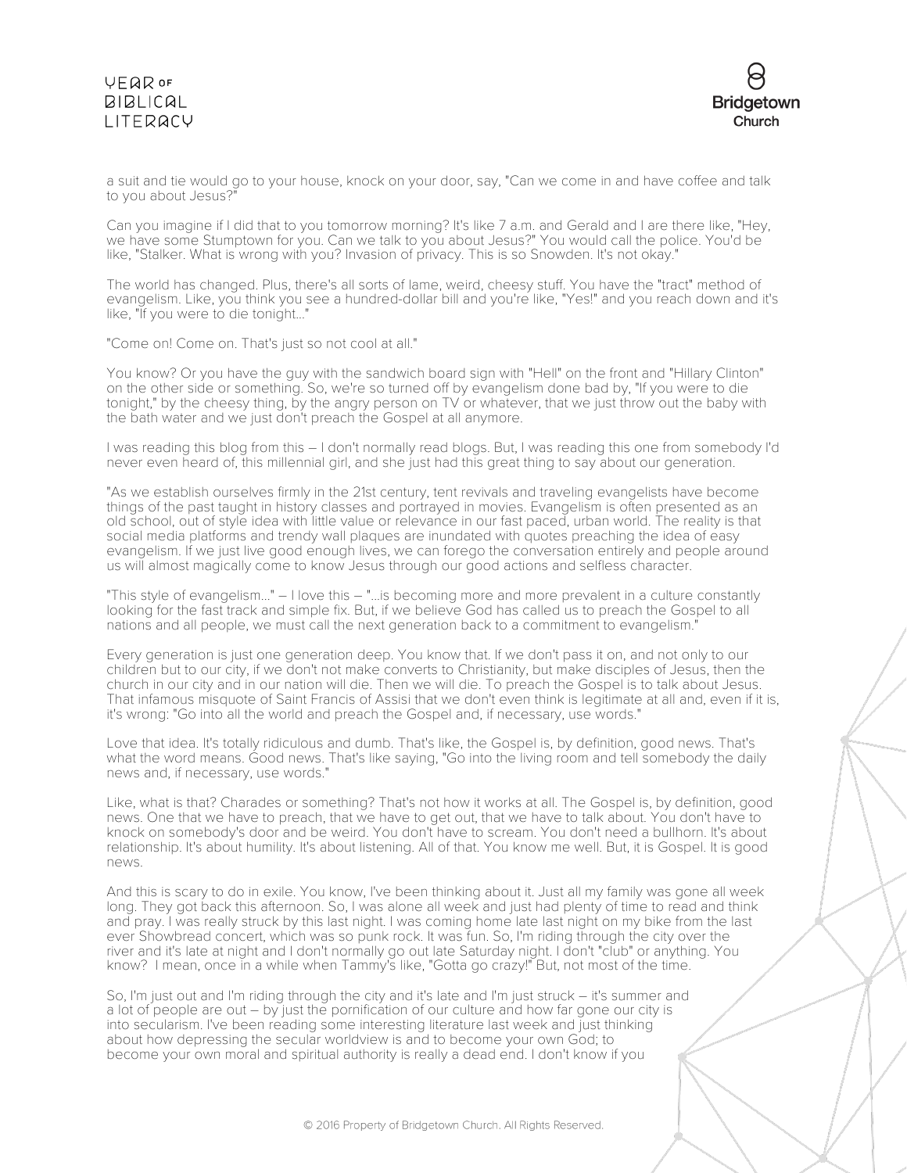

a suit and tie would go to your house, knock on your door, say, "Can we come in and have coffee and talk to you about Jesus?

Can you imagine if I did that to you tomorrow morning? It's like 7 a.m. and Gerald and I are there like, "Hey, we have some Stumptown for you. Can we talk to you about Jesus?" You would call the police. You'd be like, "Stalker. What is wrong with you? Invasion of privacy. This is so Snowden. It's not okay."

The world has changed. Plus, there's all sorts of lame, weird, cheesy stuff. You have the "tract" method of evangelism. Like, you think you see a hundred-dollar bill and you're like, "Yes!" and you reach down and it's like, "If you were to die tonight..."

"Come on! Come on. That's just so not cool at all."

You know? Or you have the quy with the sandwich board sign with "Hell" on the front and "Hillary Clinton" on the other side or something. So, we're so turned off by evangelism done bad by, "If you were to die tonight," by the cheesy thing, by the angry person on TV or whatever, that we just throw out the baby with the bath water and we just don't preach the Gospel at all anymore.

I was reading this blog from this – I don't normally read blogs. But, I was reading this one from somebody I'd never even heard of, this millennial girl, and she just had this great thing to say about our generation.

"As we establish ourselves firmly in the 21st century, tent revivals and traveling evangelists have become things of the past taught in history classes and portrayed in movies. Evangelism is often presented as an old school, out of style idea with little value or relevance in our fast paced, urban world. The reality is that social media platforms and trendy wall plaques are inundated with quotes preaching the idea of easy evangelism. If we just live good enough lives, we can forego the conversation entirely and people around us will almost magically come to know Jesus through our good actions and selfless character.

"This style of evangelism..." – I love this – "...is becoming more and more prevalent in a culture constantly looking for the fast track and simple fix. But, if we believe God has called us to preach the Gospel to all nations and all people, we must call the next generation back to a commitment to evangelism."

Every generation is just one generation deep. You know that. If we don't pass it on, and not only to our children but to our city, if we don't not make converts to Christianity, but make disciples of Jesus, then the church in our city and in our nation will die. Then we will die. To preach the Gospel is to talk about Jesus. That infamous misquote of Saint Francis of Assisi that we don't even think is legitimate at all and, even if it is, it's wrong: "Go into all the world and preach the Gospel and, if necessary, use words."

Love that idea. It's totally ridiculous and dumb. That's like, the Gospel is, by definition, good news. That's what the word means. Good news. That's like saying, "Go into the living room and tell somebody the daily news and, if necessary, use words."

Like, what is that? Charades or something? That's not how it works at all. The Gospel is, by definition, good news. One that we have to preach, that we have to get out, that we have to talk about. You don't have to knock on somebody's door and be weird. You don't have to scream. You don't need a bullhorn. It's about relationship. It's about humility. It's about listening. All of that. You know me well. But, it is Gospel. It is good news.

And this is scary to do in exile. You know, I've been thinking about it. Just all my family was gone all week long. They got back this afternoon. So, I was alone all week and just had plenty of time to read and think and pray. I was really struck by this last night. I was coming home late last night on my bike from the last ever Showbread concert, which was so punk rock. It was fun. So, I'm riding through the city over the river and it's late at night and I don't normally go out late Saturday night. I don't "club" or anything. You know? I mean, once in a while when Tammy's like, "Gotta go crazy!" But, not most of the time.

So, I'm just out and I'm riding through the city and it's late and I'm just struck – it's summer and a lot of people are out – by just the pornification of our culture and how far gone our city is into secularism. I've been reading some interesting literature last week and just thinking about how depressing the secular worldview is and to become your own God; to become your own moral and spiritual authority is really a dead end. I don't know if you